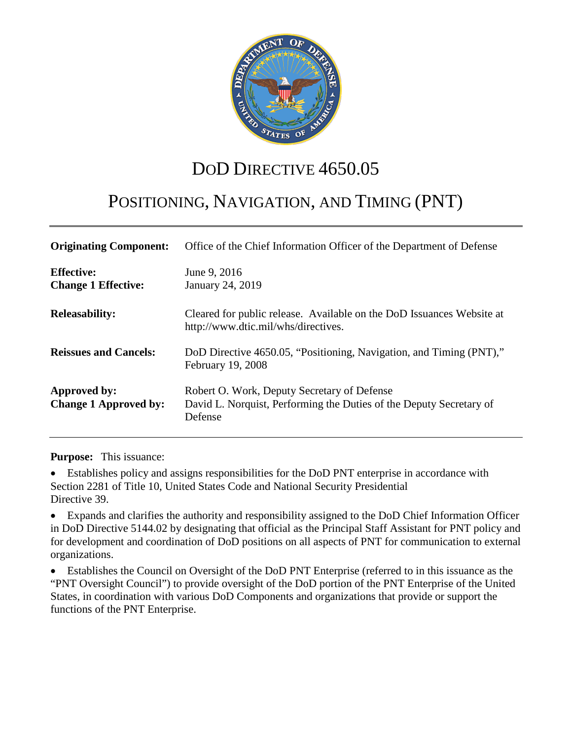

# DOD DIRECTIVE 4650.05

# POSITIONING, NAVIGATION, AND TIMING (PNT)

| <b>Originating Component:</b>                   | Office of the Chief Information Officer of the Department of Defense                                                          |  |
|-------------------------------------------------|-------------------------------------------------------------------------------------------------------------------------------|--|
| <b>Effective:</b><br><b>Change 1 Effective:</b> | June 9, 2016<br>January 24, 2019                                                                                              |  |
| <b>Releasability:</b>                           | Cleared for public release. Available on the DoD Issuances Website at<br>http://www.dtic.mil/whs/directives.                  |  |
| <b>Reissues and Cancels:</b>                    | DoD Directive 4650.05, "Positioning, Navigation, and Timing (PNT),"<br>February 19, 2008                                      |  |
| Approved by:<br><b>Change 1 Approved by:</b>    | Robert O. Work, Deputy Secretary of Defense<br>David L. Norquist, Performing the Duties of the Deputy Secretary of<br>Defense |  |

**Purpose:** This issuance:

• Establishes policy and assigns responsibilities for the DoD PNT enterprise in accordance with Section 2281 of Title 10, United States Code and National Security Presidential Directive 39.

• Expands and clarifies the authority and responsibility assigned to the DoD Chief Information Officer in DoD Directive 5144.02 by designating that official as the Principal Staff Assistant for PNT policy and for development and coordination of DoD positions on all aspects of PNT for communication to external organizations.

• Establishes the Council on Oversight of the DoD PNT Enterprise (referred to in this issuance as the "PNT Oversight Council") to provide oversight of the DoD portion of the PNT Enterprise of the United States, in coordination with various DoD Components and organizations that provide or support the functions of the PNT Enterprise.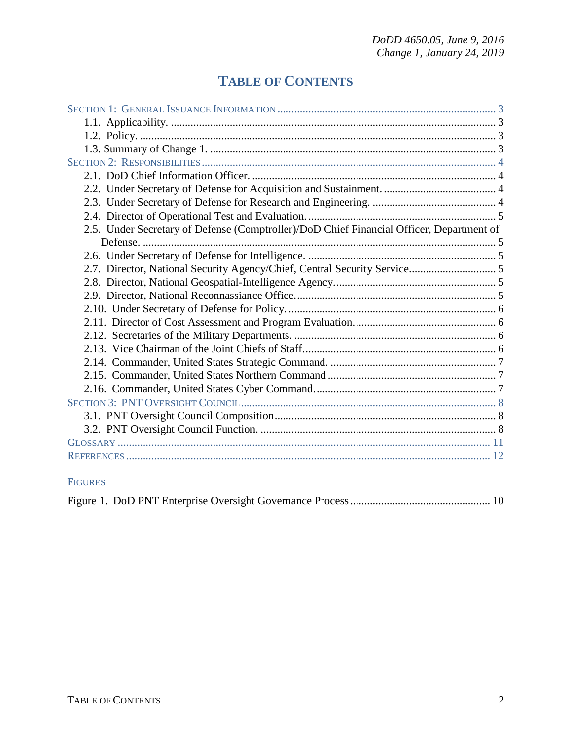## **TABLE OF CONTENTS**

| 2.5. Under Secretary of Defense (Comptroller)/DoD Chief Financial Officer, Department of |
|------------------------------------------------------------------------------------------|
|                                                                                          |
|                                                                                          |
|                                                                                          |
|                                                                                          |
|                                                                                          |
|                                                                                          |
|                                                                                          |
|                                                                                          |
|                                                                                          |
|                                                                                          |
|                                                                                          |
|                                                                                          |
|                                                                                          |
|                                                                                          |
|                                                                                          |
|                                                                                          |
|                                                                                          |

#### FIGURES

|--|--|--|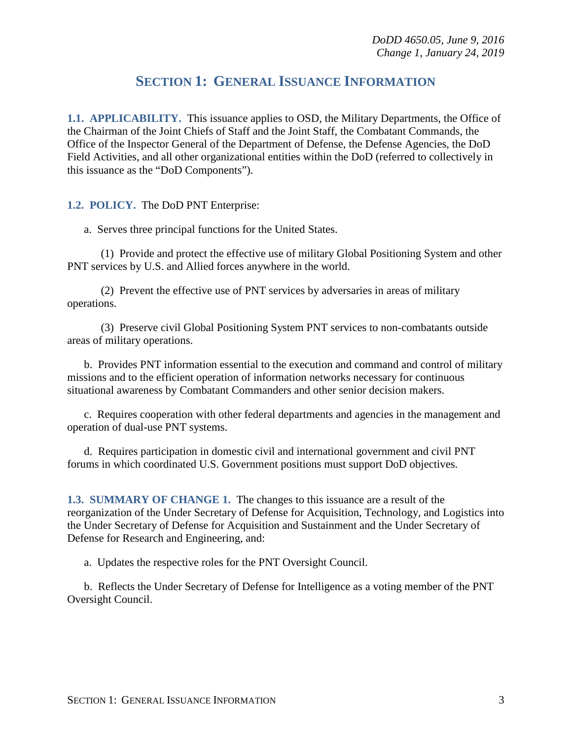## **SECTION 1: GENERAL ISSUANCE INFORMATION**

<span id="page-2-1"></span><span id="page-2-0"></span>**1.1. APPLICABILITY.** This issuance applies to OSD, the Military Departments, the Office of the Chairman of the Joint Chiefs of Staff and the Joint Staff, the Combatant Commands, the Office of the Inspector General of the Department of Defense, the Defense Agencies, the DoD Field Activities, and all other organizational entities within the DoD (referred to collectively in this issuance as the "DoD Components").

#### <span id="page-2-2"></span>**1.2. POLICY.** The DoD PNT Enterprise:

a. Serves three principal functions for the United States.

(1) Provide and protect the effective use of military Global Positioning System and other PNT services by U.S. and Allied forces anywhere in the world.

(2) Prevent the effective use of PNT services by adversaries in areas of military operations.

(3) Preserve civil Global Positioning System PNT services to non-combatants outside areas of military operations.

b. Provides PNT information essential to the execution and command and control of military missions and to the efficient operation of information networks necessary for continuous situational awareness by Combatant Commanders and other senior decision makers.

c. Requires cooperation with other federal departments and agencies in the management and operation of dual-use PNT systems.

d. Requires participation in domestic civil and international government and civil PNT forums in which coordinated U.S. Government positions must support DoD objectives.

<span id="page-2-3"></span>**1.3. SUMMARY OF CHANGE 1.** The changes to this issuance are a result of the reorganization of the Under Secretary of Defense for Acquisition, Technology, and Logistics into the Under Secretary of Defense for Acquisition and Sustainment and the Under Secretary of Defense for Research and Engineering, and:

a. Updates the respective roles for the PNT Oversight Council.

b. Reflects the Under Secretary of Defense for Intelligence as a voting member of the PNT Oversight Council.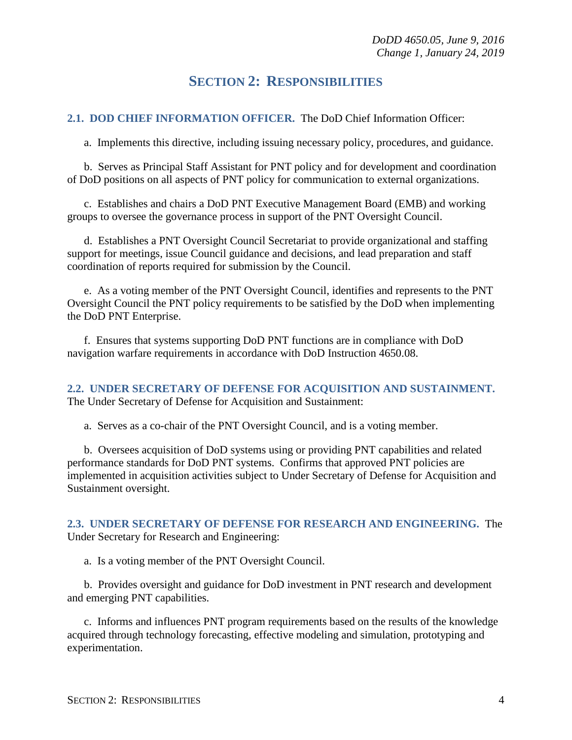### **SECTION 2: RESPONSIBILITIES**

<span id="page-3-1"></span><span id="page-3-0"></span>**2.1. DOD CHIEF INFORMATION OFFICER.** The DoD Chief Information Officer:

a. Implements this directive, including issuing necessary policy, procedures, and guidance.

b. Serves as Principal Staff Assistant for PNT policy and for development and coordination of DoD positions on all aspects of PNT policy for communication to external organizations.

c. Establishes and chairs a DoD PNT Executive Management Board (EMB) and working groups to oversee the governance process in support of the PNT Oversight Council.

d. Establishes a PNT Oversight Council Secretariat to provide organizational and staffing support for meetings, issue Council guidance and decisions, and lead preparation and staff coordination of reports required for submission by the Council.

e. As a voting member of the PNT Oversight Council, identifies and represents to the PNT Oversight Council the PNT policy requirements to be satisfied by the DoD when implementing the DoD PNT Enterprise.

f. Ensures that systems supporting DoD PNT functions are in compliance with DoD navigation warfare requirements in accordance with DoD Instruction 4650.08.

<span id="page-3-2"></span>**2.2. UNDER SECRETARY OF DEFENSE FOR ACQUISITION AND SUSTAINMENT.** The Under Secretary of Defense for Acquisition and Sustainment:

a. Serves as a co-chair of the PNT Oversight Council, and is a voting member.

b. Oversees acquisition of DoD systems using or providing PNT capabilities and related performance standards for DoD PNT systems. Confirms that approved PNT policies are implemented in acquisition activities subject to Under Secretary of Defense for Acquisition and Sustainment oversight.

<span id="page-3-3"></span>**2.3. UNDER SECRETARY OF DEFENSE FOR RESEARCH AND ENGINEERING.** The Under Secretary for Research and Engineering:

a. Is a voting member of the PNT Oversight Council.

b. Provides oversight and guidance for DoD investment in PNT research and development and emerging PNT capabilities.

c. Informs and influences PNT program requirements based on the results of the knowledge acquired through technology forecasting, effective modeling and simulation, prototyping and experimentation.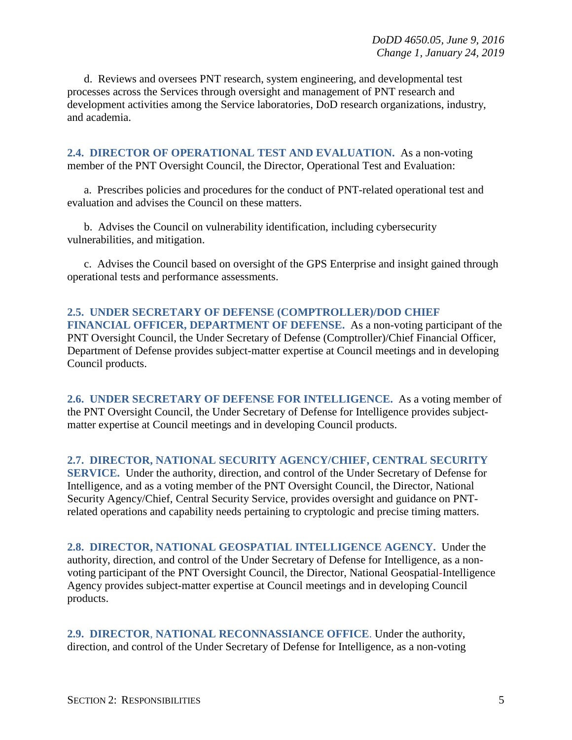d. Reviews and oversees PNT research, system engineering, and developmental test processes across the Services through oversight and management of PNT research and development activities among the Service laboratories, DoD research organizations, industry, and academia.

<span id="page-4-0"></span>**2.4. DIRECTOR OF OPERATIONAL TEST AND EVALUATION.** As a non-voting member of the PNT Oversight Council, the Director, Operational Test and Evaluation:

a. Prescribes policies and procedures for the conduct of PNT-related operational test and evaluation and advises the Council on these matters.

b. Advises the Council on vulnerability identification, including cybersecurity vulnerabilities, and mitigation.

c. Advises the Council based on oversight of the GPS Enterprise and insight gained through operational tests and performance assessments.

<span id="page-4-1"></span>**2.5. UNDER SECRETARY OF DEFENSE (COMPTROLLER)/DOD CHIEF FINANCIAL OFFICER, DEPARTMENT OF DEFENSE.** As a non-voting participant of the PNT Oversight Council, the Under Secretary of Defense (Comptroller)/Chief Financial Officer, Department of Defense provides subject-matter expertise at Council meetings and in developing Council products.

<span id="page-4-2"></span>**2.6. UNDER SECRETARY OF DEFENSE FOR INTELLIGENCE.** As a voting member of the PNT Oversight Council, the Under Secretary of Defense for Intelligence provides subjectmatter expertise at Council meetings and in developing Council products.

<span id="page-4-3"></span>**2.7. DIRECTOR, NATIONAL SECURITY AGENCY/CHIEF, CENTRAL SECURITY SERVICE.** Under the authority, direction, and control of the Under Secretary of Defense for Intelligence, and as a voting member of the PNT Oversight Council, the Director, National Security Agency/Chief, Central Security Service, provides oversight and guidance on PNTrelated operations and capability needs pertaining to cryptologic and precise timing matters.

<span id="page-4-4"></span>**2.8. DIRECTOR, NATIONAL GEOSPATIAL INTELLIGENCE AGENCY.** Under the authority, direction, and control of the Under Secretary of Defense for Intelligence, as a nonvoting participant of the PNT Oversight Council, the Director, National Geospatial*-*Intelligence Agency provides subject-matter expertise at Council meetings and in developing Council products.

<span id="page-4-5"></span>**2.9. DIRECTOR**, **NATIONAL RECONNASSIANCE OFFICE**. Under the authority, direction, and control of the Under Secretary of Defense for Intelligence, as a non-voting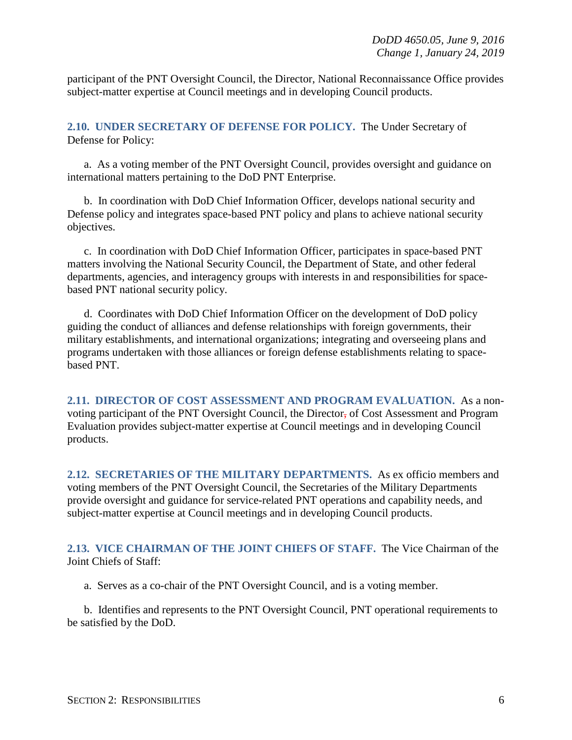participant of the PNT Oversight Council, the Director, National Reconnaissance Office provides subject-matter expertise at Council meetings and in developing Council products.

<span id="page-5-0"></span>**2.10. UNDER SECRETARY OF DEFENSE FOR POLICY.** The Under Secretary of Defense for Policy:

a. As a voting member of the PNT Oversight Council, provides oversight and guidance on international matters pertaining to the DoD PNT Enterprise.

b. In coordination with DoD Chief Information Officer, develops national security and Defense policy and integrates space-based PNT policy and plans to achieve national security objectives.

c. In coordination with DoD Chief Information Officer, participates in space-based PNT matters involving the National Security Council, the Department of State, and other federal departments, agencies, and interagency groups with interests in and responsibilities for spacebased PNT national security policy.

d. Coordinates with DoD Chief Information Officer on the development of DoD policy guiding the conduct of alliances and defense relationships with foreign governments, their military establishments, and international organizations; integrating and overseeing plans and programs undertaken with those alliances or foreign defense establishments relating to spacebased PNT.

<span id="page-5-1"></span>**2.11. DIRECTOR OF COST ASSESSMENT AND PROGRAM EVALUATION.** As a nonvoting participant of the PNT Oversight Council, the Director, of Cost Assessment and Program Evaluation provides subject-matter expertise at Council meetings and in developing Council products.

<span id="page-5-2"></span>**2.12. SECRETARIES OF THE MILITARY DEPARTMENTS.** As ex officio members and voting members of the PNT Oversight Council, the Secretaries of the Military Departments provide oversight and guidance for service-related PNT operations and capability needs, and subject-matter expertise at Council meetings and in developing Council products.

<span id="page-5-3"></span>**2.13. VICE CHAIRMAN OF THE JOINT CHIEFS OF STAFF.** The Vice Chairman of the Joint Chiefs of Staff:

a. Serves as a co-chair of the PNT Oversight Council, and is a voting member.

b. Identifies and represents to the PNT Oversight Council, PNT operational requirements to be satisfied by the DoD.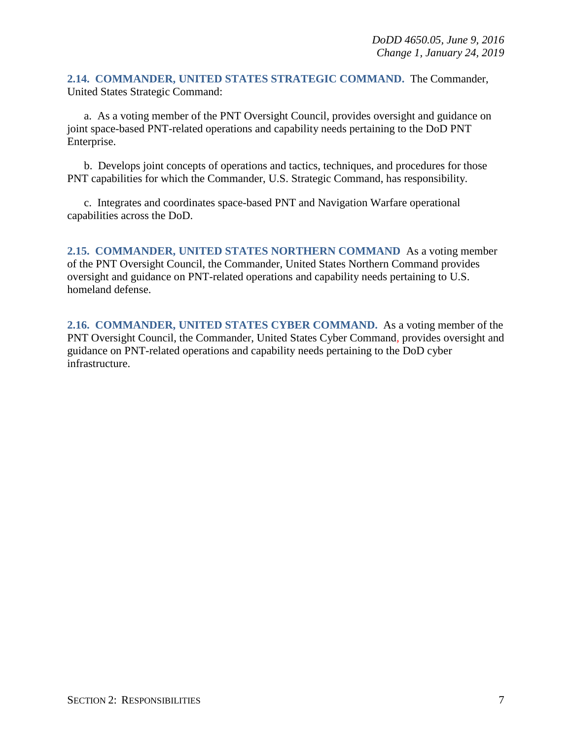<span id="page-6-0"></span>**2.14. COMMANDER, UNITED STATES STRATEGIC COMMAND.** The Commander, United States Strategic Command:

a. As a voting member of the PNT Oversight Council, provides oversight and guidance on joint space-based PNT-related operations and capability needs pertaining to the DoD PNT Enterprise.

b. Develops joint concepts of operations and tactics, techniques, and procedures for those PNT capabilities for which the Commander, U.S. Strategic Command, has responsibility.

c. Integrates and coordinates space-based PNT and Navigation Warfare operational capabilities across the DoD.

<span id="page-6-1"></span>**2.15. COMMANDER, UNITED STATES NORTHERN COMMAND** As a voting member of the PNT Oversight Council, the Commander, United States Northern Command provides oversight and guidance on PNT-related operations and capability needs pertaining to U.S. homeland defense.

<span id="page-6-2"></span>**2.16. COMMANDER, UNITED STATES CYBER COMMAND.** As a voting member of the PNT Oversight Council, the Commander, United States Cyber Command*,* provides oversight and guidance on PNT-related operations and capability needs pertaining to the DoD cyber infrastructure.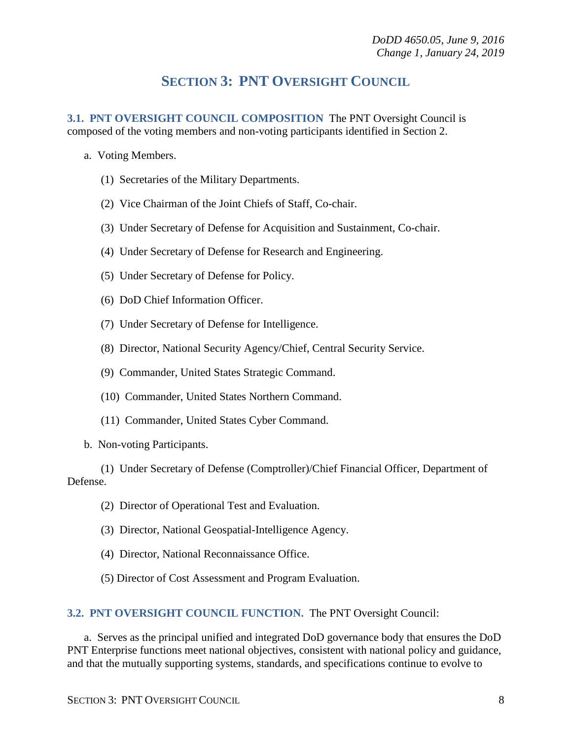## **SECTION 3: PNT OVERSIGHT COUNCIL**

<span id="page-7-1"></span><span id="page-7-0"></span>**3.1. PNT OVERSIGHT COUNCIL COMPOSITION** The PNT Oversight Council is composed of the voting members and non-voting participants identified in Section 2.

- a. Voting Members.
	- (1) Secretaries of the Military Departments.
	- (2) Vice Chairman of the Joint Chiefs of Staff, Co-chair.
	- (3) Under Secretary of Defense for Acquisition and Sustainment, Co-chair.
	- (4) Under Secretary of Defense for Research and Engineering.
	- (5) Under Secretary of Defense for Policy.
	- (6) DoD Chief Information Officer.
	- (7) Under Secretary of Defense for Intelligence.
	- (8) Director, National Security Agency/Chief, Central Security Service.
	- (9) Commander, United States Strategic Command.
	- (10) Commander, United States Northern Command.
	- (11) Commander, United States Cyber Command.
- b. Non-voting Participants.

(1) Under Secretary of Defense (Comptroller)/Chief Financial Officer, Department of Defense.

- (2) Director of Operational Test and Evaluation.
- (3) Director, National Geospatial*-*Intelligence Agency.
- (4) Director, National Reconnaissance Office.
- (5) Director of Cost Assessment and Program Evaluation.

#### <span id="page-7-2"></span>**3.2. PNT OVERSIGHT COUNCIL FUNCTION.** The PNT Oversight Council:

a. Serves as the principal unified and integrated DoD governance body that ensures the DoD PNT Enterprise functions meet national objectives, consistent with national policy and guidance, and that the mutually supporting systems, standards, and specifications continue to evolve to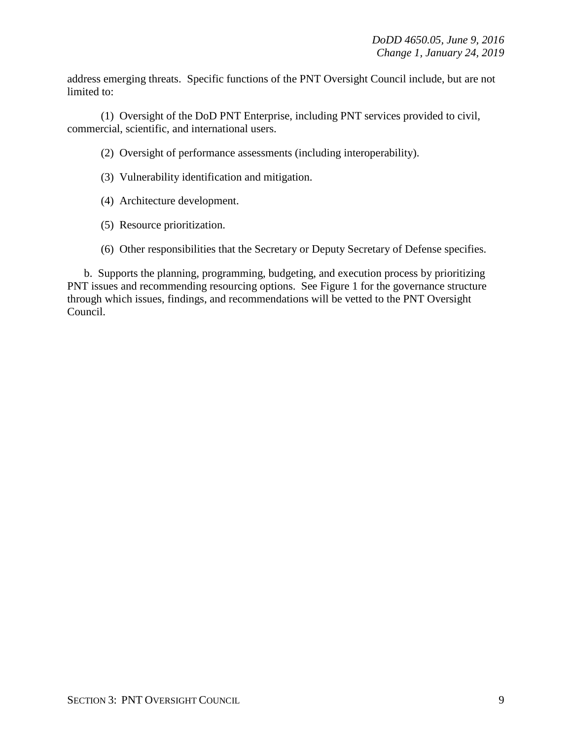address emerging threats. Specific functions of the PNT Oversight Council include, but are not limited to:

(1) Oversight of the DoD PNT Enterprise, including PNT services provided to civil, commercial, scientific, and international users.

(2) Oversight of performance assessments (including interoperability).

- (3) Vulnerability identification and mitigation.
- (4) Architecture development.
- (5) Resource prioritization.
- (6) Other responsibilities that the Secretary or Deputy Secretary of Defense specifies.

b. Supports the planning, programming, budgeting, and execution process by prioritizing PNT issues and recommending resourcing options. See Figure 1 for the governance structure through which issues, findings, and recommendations will be vetted to the PNT Oversight Council.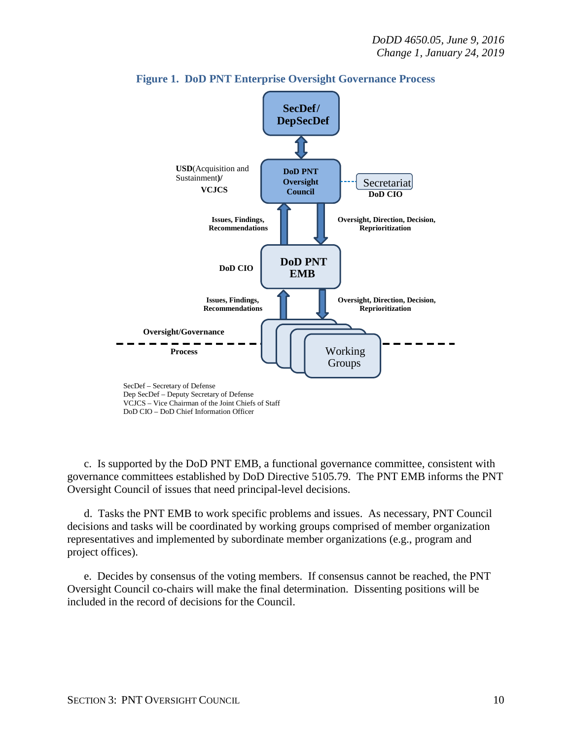



c. Is supported by the DoD PNT EMB, a functional governance committee, consistent with governance committees established by DoD Directive 5105.79. The PNT EMB informs the PNT Oversight Council of issues that need principal-level decisions.

d. Tasks the PNT EMB to work specific problems and issues. As necessary, PNT Council decisions and tasks will be coordinated by working groups comprised of member organization representatives and implemented by subordinate member organizations (e.g., program and project offices).

e. Decides by consensus of the voting members. If consensus cannot be reached, the PNT Oversight Council co-chairs will make the final determination. Dissenting positions will be included in the record of decisions for the Council.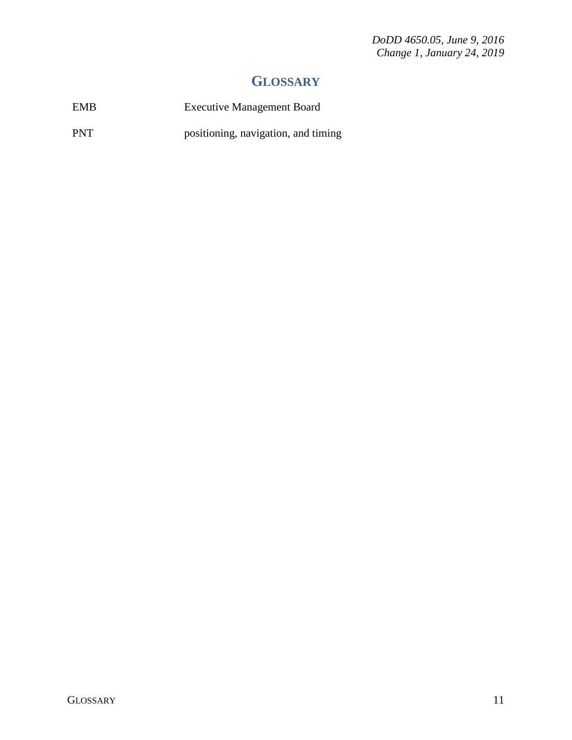*DoDD 4650.05, June 9, 2016 Change 1, January 24, 2019* 

## **GLOSSARY**

<span id="page-10-0"></span>

| <b>EMB</b> | <b>Executive Management Board</b>   |
|------------|-------------------------------------|
| <b>PNT</b> | positioning, navigation, and timing |